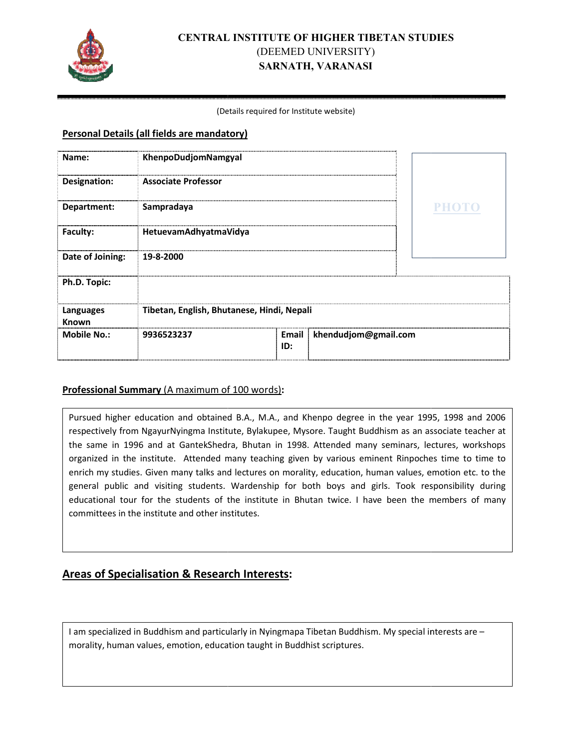

# **CENTRAL INSTITUTE OF HIGHER TIBETAN STUDIES** (DEEMED UNIVERSITY) **SARNATH, VARANASI**

#### (Det Details required for Institute website)

### **Personal Details (all fields are mandatory)**

| Name:              | KhenpoDudjomNamgyal                        |              |                      |              |
|--------------------|--------------------------------------------|--------------|----------------------|--------------|
| Designation:       | <b>Associate Professor</b>                 |              |                      |              |
| Department:        | Sampradaya                                 |              |                      | <b>PHOTO</b> |
| Faculty:           | HetuevamAdhyatmaVidya                      |              |                      |              |
| Date of Joining:   | 19-8-2000                                  |              |                      |              |
| Ph.D. Topic:       |                                            |              |                      |              |
| Languages<br>Known | Tibetan, English, Bhutanese, Hindi, Nepali |              |                      |              |
| <b>Mobile No.:</b> | 9936523237                                 | Email<br>ID: | khendudjom@gmail.com |              |

## **Professional Summary** (A maximum of 100 words):

Pursued higher education and obtained B.A., M.A., and Khenpo degree in the year 1995, 1998 and 2006 respectively from NgayurNyingma Institute, Bylakupee, Mysore. Taught Buddhism as an associate teacher at the same in 1996 and at GantekShedra, Bhutan in 1998. Attended many seminars, lectures, workshops organized in the institute. Attended many teaching given by various eminent Rinpoches time to time to enrich my studies. Given many talks and lectures on morality, education, human values, emotion etc. to the general public and visiting students. Wardenship for both boys and girls. Took responsibility during educational tour for the students of the institute in Bhutan twice. I have been the members of many committees in the institute and other institutes.

## **Areas of Specialisation & Research Interests:**

I am specialized in Buddhism and particularly in Nyingmapa Tibetan Buddhism. My special interests are morality, human values, emotion, education taught in Buddhist scriptures.